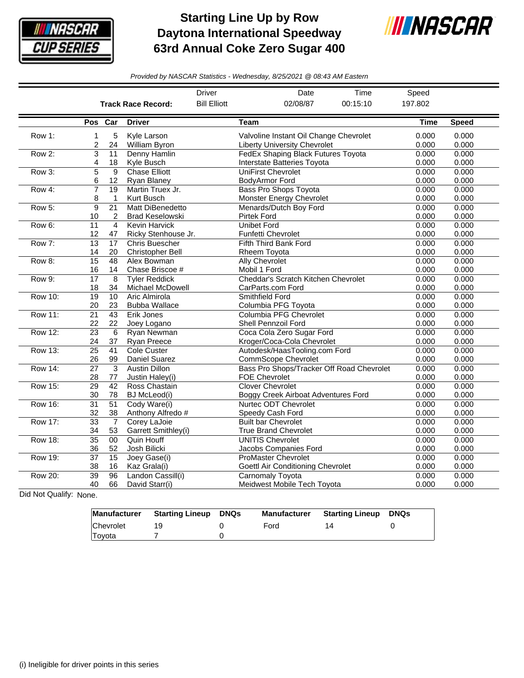

## **Starting Line Up by Row Daytona International Speedway 63rd Annual Coke Zero Sugar 400**



*Provided by NASCAR Statistics - Wednesday, 8/25/2021 @ 08:43 AM Eastern*

|                |                       |                                 |                                                   | <b>Driver</b>       | Date                                                                          | Time     | Speed          |                |
|----------------|-----------------------|---------------------------------|---------------------------------------------------|---------------------|-------------------------------------------------------------------------------|----------|----------------|----------------|
|                |                       |                                 | <b>Track Race Record:</b>                         | <b>Bill Elliott</b> | 02/08/87                                                                      | 00:15:10 | 197.802        |                |
|                | Pos Car               |                                 | <b>Driver</b>                                     |                     | <b>Team</b>                                                                   |          | <b>Time</b>    | <b>Speed</b>   |
| Row 1:         | 1<br>2                | 5<br>24                         | Kyle Larson<br>William Byron                      |                     | Valvoline Instant Oil Change Chevrolet<br><b>Liberty University Chevrolet</b> |          | 0.000<br>0.000 | 0.000<br>0.000 |
| Row 2:         | 3<br>4                | 11<br>18                        | Denny Hamlin<br>Kyle Busch                        |                     | FedEx Shaping Black Futures Toyota<br>Interstate Batteries Toyota             |          | 0.000<br>0.000 | 0.000<br>0.000 |
| Row 3:         | $\overline{5}$<br>6   | $\overline{9}$<br>12            | <b>Chase Elliott</b><br>Ryan Blaney               |                     | <b>UniFirst Chevrolet</b><br>BodyArmor Ford                                   |          | 0.000<br>0.000 | 0.000<br>0.000 |
| Row 4:         | 7<br>8                | $\overline{19}$<br>$\mathbf{1}$ | Martin Truex Jr.<br>Kurt Busch                    |                     | <b>Bass Pro Shops Toyota</b><br>Monster Energy Chevrolet                      |          | 0.000<br>0.000 | 0.000<br>0.000 |
| Row 5:         | 9<br>10               | $\overline{21}$<br>2            | <b>Matt DiBenedetto</b><br><b>Brad Keselowski</b> |                     | Menards/Dutch Boy Ford<br><b>Pirtek Ford</b>                                  |          | 0.000<br>0.000 | 0.000<br>0.000 |
| Row 6:         | 11<br>12              | $\overline{4}$<br>47            | Kevin Harvick<br>Ricky Stenhouse Jr.              |                     | <b>Unibet Ford</b><br><b>Funfetti Chevrolet</b>                               |          | 0.000<br>0.000 | 0.000<br>0.000 |
| Row 7:         | 13<br>14              | $\overline{17}$<br>20           | <b>Chris Buescher</b><br><b>Christopher Bell</b>  |                     | <b>Fifth Third Bank Ford</b><br>Rheem Toyota                                  |          | 0.000<br>0.000 | 0.000<br>0.000 |
| Row 8:         | 15<br>16              | 48<br>14                        | Alex Bowman<br>Chase Briscoe #                    |                     | <b>Ally Chevrolet</b><br>Mobil 1 Ford                                         |          | 0.000<br>0.000 | 0.000<br>0.000 |
| Row 9:         | $\overline{17}$<br>18 | 8<br>34                         | <b>Tyler Reddick</b><br>Michael McDowell          |                     | Cheddar's Scratch Kitchen Chevrolet<br>CarParts.com Ford                      |          | 0.000<br>0.000 | 0.000<br>0.000 |
| Row 10:        | 19<br>20              | $\overline{10}$<br>23           | Aric Almirola<br><b>Bubba Wallace</b>             |                     | Smithfield Ford<br>Columbia PFG Toyota                                        |          | 0.000<br>0.000 | 0.000<br>0.000 |
| <b>Row 11:</b> | $\overline{21}$<br>22 | 43<br>22                        | Erik Jones<br>Joey Logano                         |                     | Columbia PFG Chevrolet<br>Shell Pennzoil Ford                                 |          | 0.000<br>0.000 | 0.000<br>0.000 |
| <b>Row 12:</b> | $\overline{23}$<br>24 | $\overline{6}$<br>37            | Ryan Newman<br>Ryan Preece                        |                     | Coca Cola Zero Sugar Ford<br>Kroger/Coca-Cola Chevrolet                       |          | 0.000<br>0.000 | 0.000<br>0.000 |
| <b>Row 13:</b> | $\overline{25}$<br>26 | $\overline{41}$<br>99           | <b>Cole Custer</b><br>Daniel Suarez               |                     | Autodesk/HaasTooling.com Ford<br>CommScope Chevrolet                          |          | 0.000<br>0.000 | 0.000<br>0.000 |
| <b>Row 14:</b> | $\overline{27}$<br>28 | 3<br>77                         | <b>Austin Dillon</b><br>Justin Haley(i)           |                     | Bass Pro Shops/Tracker Off Road Chevrolet<br><b>FOE Chevrolet</b>             |          | 0.000<br>0.000 | 0.000<br>0.000 |
| <b>Row 15:</b> | 29<br>30              | $\overline{42}$<br>78           | Ross Chastain<br><b>BJ</b> McLeod(i)              |                     | <b>Clover Chevrolet</b><br>Boggy Creek Airboat Adventures Ford                |          | 0.000<br>0.000 | 0.000<br>0.000 |
| <b>Row 16:</b> | $\overline{31}$<br>32 | $\overline{51}$<br>38           | Cody Ware(i)<br>Anthony Alfredo #                 |                     | Nurtec ODT Chevrolet<br>Speedy Cash Ford                                      |          | 0.000<br>0.000 | 0.000<br>0.000 |
| <b>Row 17:</b> | $\overline{33}$<br>34 | $\overline{7}$<br>53            | Corey LaJoie<br>Garrett Smithley(i)               |                     | <b>Built bar Chevrolet</b><br><b>True Brand Chevrolet</b>                     |          | 0.000<br>0.000 | 0.000<br>0.000 |
| <b>Row 18:</b> | $\overline{35}$<br>36 | 00<br>52                        | Quin Houff<br>Josh Bilicki                        |                     | <b>UNITIS Chevrolet</b><br>Jacobs Companies Ford                              |          | 0.000<br>0.000 | 0.000<br>0.000 |
| Row 19:        | $\overline{37}$<br>38 | $\overline{15}$<br>16           | Joey Gase(i)<br>Kaz Grala(i)                      |                     | <b>ProMaster Chevrolet</b><br>Goettl Air Conditioning Chevrolet               |          | 0.000<br>0.000 | 0.000<br>0.000 |
| <b>Row 20:</b> | $\overline{39}$<br>40 | $\overline{96}$<br>66           | Landon Cassill(i)<br>David Starr(i)               |                     | <b>Carnomaly Toyota</b><br>Meidwest Mobile Tech Toyota                        |          | 0.000<br>0.000 | 0.000<br>0.000 |

Did Not Qualify: None.

| <b>Manufacturer</b> | <b>Starting Lineup DNQs</b> | <b>Manufacturer</b> | <b>Starting Lineup DNQs</b> |  |
|---------------------|-----------------------------|---------------------|-----------------------------|--|
| <b>Chevrolet</b>    |                             | Ford                | 14                          |  |
| Toyota              |                             |                     |                             |  |